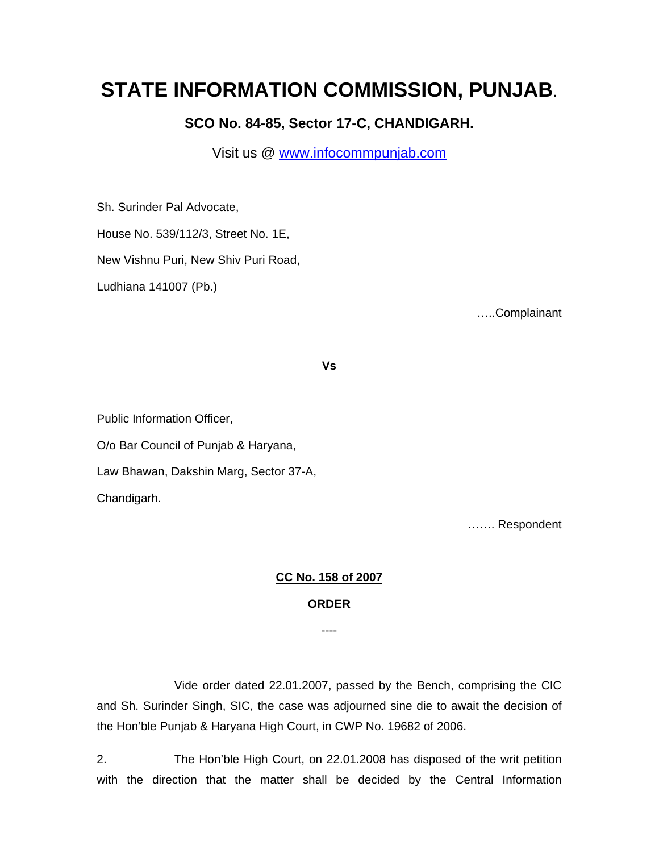## **STATE INFORMATION COMMISSION, PUNJAB**.

**SCO No. 84-85, Sector 17-C, CHANDIGARH.** 

Visit us @ www.infocommpunjab.com

Sh. Surinder Pal Advocate,

House No. 539/112/3, Street No. 1E,

New Vishnu Puri, New Shiv Puri Road,

Ludhiana 141007 (Pb.)

…..Complainant

**Vs** 

Public Information Officer, O/o Bar Council of Punjab & Haryana, Law Bhawan, Dakshin Marg, Sector 37-A, Chandigarh.

……. Respondent

## **CC No. 158 of 2007**

## **ORDER**

----

 Vide order dated 22.01.2007, passed by the Bench, comprising the CIC and Sh. Surinder Singh, SIC, the case was adjourned sine die to await the decision of the Hon'ble Punjab & Haryana High Court, in CWP No. 19682 of 2006.

2. The Hon'ble High Court, on 22.01.2008 has disposed of the writ petition with the direction that the matter shall be decided by the Central Information